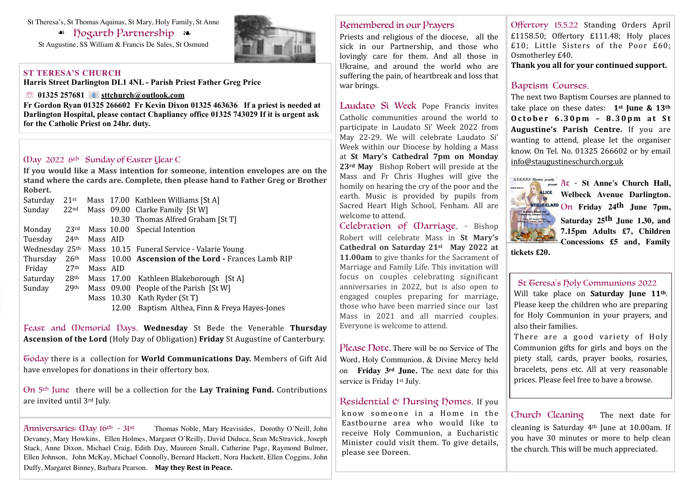#### St Theresa's, St Thomas Aquinas, St Mary, Holy Family, St Anne

☙ Hogarth Partnership ❧

St Augustine, SS William & Francis De Sales, St Osmund

#### **ST TERESA'S CHURCH**

**Harris Street Darlington DL1 4NL - Parish Priest Father Greg Price**

#### ☏ **01325 257681 [sttchurch@outlook.com](mailto:sttchurch@outlook.com)**

**Fr Gordon Ryan 01325 266602 Fr Kevin Dixon 01325 463636 If a priest is needed at Darlington Hospital, please contact Chapliancy office 01325 743029 If it is urgent ask for the Catholic Priest on 24hr. duty.**

## May 2022 6th Sunday of Easter Year C

If you would like a Mass intention for someone, intention envelopes are on the stand where the cards are. Complete, then please hand to Father Greg or Brother **Robert.**

| Saturday       | $21$ st          |          |            | Mass 17.00 Kathleen Williams [St A]                 |
|----------------|------------------|----------|------------|-----------------------------------------------------|
| Sunday         | 22 <sub>nd</sub> |          |            | Mass 09.00 Clarke Family [St W]                     |
|                |                  |          |            | 10.30 Thomas Alfred Graham [St T]                   |
| Monday         | 23rd             |          |            | Mass 10.00 Special Intention                        |
| Tuesday        | 24 <sup>th</sup> | Mass AID |            |                                                     |
| Wednesday 25th |                  |          |            | Mass 10.15 Funeral Service - Valarie Young          |
| Thursday       | 26 <sup>th</sup> |          |            | Mass 10.00 Ascension of the Lord - Frances Lamb RIP |
| Friday         | 27 <sup>th</sup> | Mass AID |            |                                                     |
| Saturday       | 28 <sup>th</sup> |          |            | Mass 17.00 Kathleen Blakeborough [St A]             |
| Sunday         | 29 <sup>th</sup> |          |            | Mass 09.00 People of the Parish [St W]              |
|                |                  |          | Mass 10.30 | Kath Ryder (St T)                                   |
|                |                  |          | 12.00      | Baptism Althea, Finn & Freya Hayes-Jones            |
|                |                  |          |            |                                                     |

Feast and *Oemorial Days*. Wednesday St Bede the Venerable Thursday **Ascension of the Lord** (Holy Day of Obligation) **Friday** St Augustine of Canterbury.

Goday there is a collection for **World Communications Day.** Members of Gift Aid have envelopes for donations in their offertory box.

On 5<sup>th</sup> June there will be a collection for the **Lay Training Fund.** Contributions are invited until 3rd July.

Anniversaries:  $\Omega$  ay 16<sup>th</sup> - 31<sup>st</sup> Thomas Noble, Mary Heavisides, Dorothy O'Neill, John Devaney, Mary Howkins, Ellen Holmes, Margaret O'Reilly, David Diduca, Sean McStravick, Joseph Stack, Anne Dixon, Michael Craig, Edith Day, Maureen Small, Catherine Page, Raymond Bulmer, Ellen Johnson, John McKay, Michael Connolly, Bernard Hackett, Nora Hackett, Ellen Coggins, John Duffy, Margaret Binney, Barbara Pearson. May they Rest in Peace.

## Remembered in our Prayers

Priests and religious of the diocese, all the sick in our Partnership, and those who lovingly care for them. And all those in Ukraine, and around the world who are suffering the pain, of heartbreak and loss that war brings.

Laudato Si Week Pope Francis invites Catholic communities around the world to participate in Laudato Si' Week 2022 from May 22-29. We will celebrate Laudato Si' Week within our Diocese by holding a Mass at St Mary's Cathedral 7pm on Monday 23<sup>rd</sup> May Bishop Robert will preside at the Mass and Fr Chris Hughes will give the homily on hearing the cry of the poor and the earth. Music is provided by pupils from Sacred Heart High School, Fenham. All are welcome to attend.

Celebration of Marriage. - Bishop Robert will celebrate Mass in St Mary's Cathedral on Saturday 21<sup>st</sup> May 2022 at **11.00am** to give thanks for the Sacrament of Marriage and Family Life. This invitation will focus on couples celebrating significant anniversaries in 2022, but is also open to engaged couples preparing for marriage, those who have been married since our last Mass in 2021 and all married couples. Everyone is welcome to attend.

Please Note. There will be no Service of The Word, Holy Communion, & Divine Mercy held on **Friday 3rd June.** The next date for this service is Friday 1<sup>st</sup> July.

#### Residential  $&$  Nursing Homes. If you

know someone in a Home in the Eastbourne area who would like to receive Holy Communion, a Eucharistic Minister could visit them. To give details, please see Doreen.

Offertory 15.5.22 Standing Orders April £1158.50; Offertory £111.48; Holy places  $£10$ ; Little Sisters of the Poor  $£60$ ; Osmotherley £40.

Thank you all for your continued support.

# Baptism Courses.

The next two Baptism Courses are planned to take place on these dates: **1st June & 13th October 6.30pm - 8.30pm at St Augustine's Parish Centre.** If you are wanting to attend, please let the organiser know. On Tel. No. 01325 266602 or by email [info@staugustineschurch.org.uk](mailto:info@staugustineschurch.org.uk)



**WALICE Welbeck Avenue Darlington.** On **Friday 24th June 7pm, Saturday 25th June 1.30, and 7.15pm Adults £7, Children Concessions £5 and, Family** 

## **St Geresa's Holy Communions 2022**

Will take place on **Saturday** June 11<sup>th</sup>. Please keep the children who are preparing for Holy Communion in your prayers, and also their families.

There are a good variety of Holy Communion gifts for girls and boys on the piety stall, cards, prayer books, rosaries, bracelets, pens etc. All at very reasonable prices. Please feel free to have a browse.

Church Cleaning The next date for cleaning is Saturday  $4<sup>th</sup>$  June at 10.00am. If you have 30 minutes or more to help clean the church. This will be much appreciated.